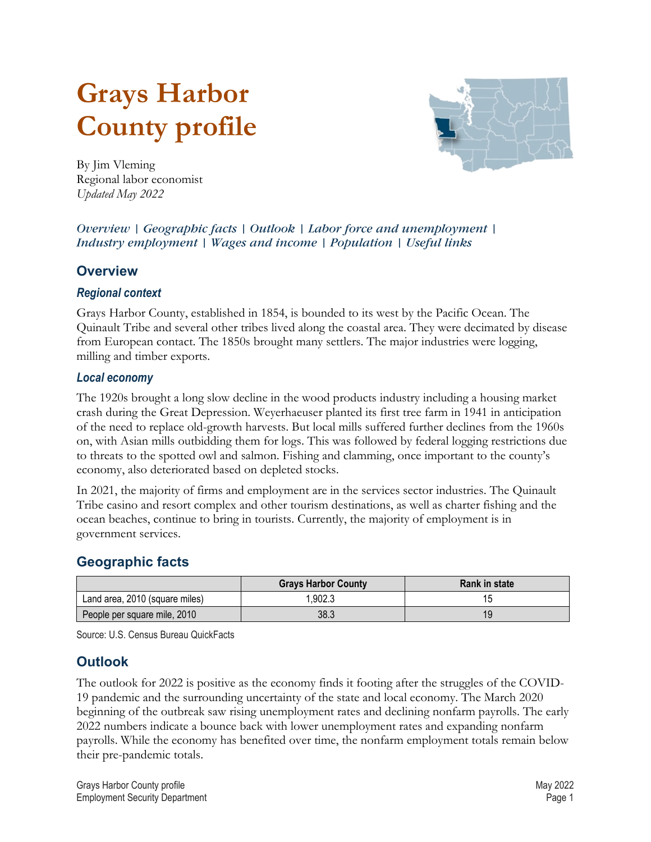# <span id="page-0-2"></span>**Grays Harbor County profile**



By Jim Vleming Regional labor economist *Updated May 2022*

#### *Overview | [Geographic facts](#page-0-0) | [Outlook](#page-0-1) | [Labor force and unemployment](#page-1-0) | [Industry employment](#page-1-1) | [Wages and income](#page-2-0) | [Population](#page-2-1) | [Useful links](#page-4-0)*

## **Overview**

#### *Regional context*

Grays Harbor County, established in 1854, is bounded to its west by the Pacific Ocean. The Quinault Tribe and several other tribes lived along the coastal area. They were decimated by disease from European contact. The 1850s brought many settlers. The major industries were logging, milling and timber exports.

#### *Local economy*

The 1920s brought a long slow decline in the wood products industry including a housing market crash during the Great Depression. Weyerhaeuser planted its first tree farm in 1941 in anticipation of the need to replace old-growth harvests. But local mills suffered further declines from the 1960s on, with Asian mills outbidding them for logs. This was followed by federal logging restrictions due to threats to the spotted owl and salmon. Fishing and clamming, once important to the county's economy, also deteriorated based on depleted stocks.

In 2021, the majority of firms and employment are in the services sector industries. The Quinault Tribe casino and resort complex and other tourism destinations, as well as charter fishing and the ocean beaches, continue to bring in tourists. Currently, the majority of employment is in government services.

# <span id="page-0-0"></span>**[Geographic facts](#page-0-2)**

|                                | <b>Grays Harbor County</b> | <b>Rank in state</b> |
|--------------------------------|----------------------------|----------------------|
| Land area, 2010 (square miles) | .902.3                     |                      |
| People per square mile, 2010   | 38.3                       | 19                   |

Source: U.S. Census Bureau QuickFacts

# <span id="page-0-1"></span>**[Outlook](#page-0-2)**

The outlook for 2022 is positive as the economy finds it footing after the struggles of the COVID-19 pandemic and the surrounding uncertainty of the state and local economy. The March 2020 beginning of the outbreak saw rising unemployment rates and declining nonfarm payrolls. The early 2022 numbers indicate a bounce back with lower unemployment rates and expanding nonfarm payrolls. While the economy has benefited over time, the nonfarm employment totals remain below their pre-pandemic totals.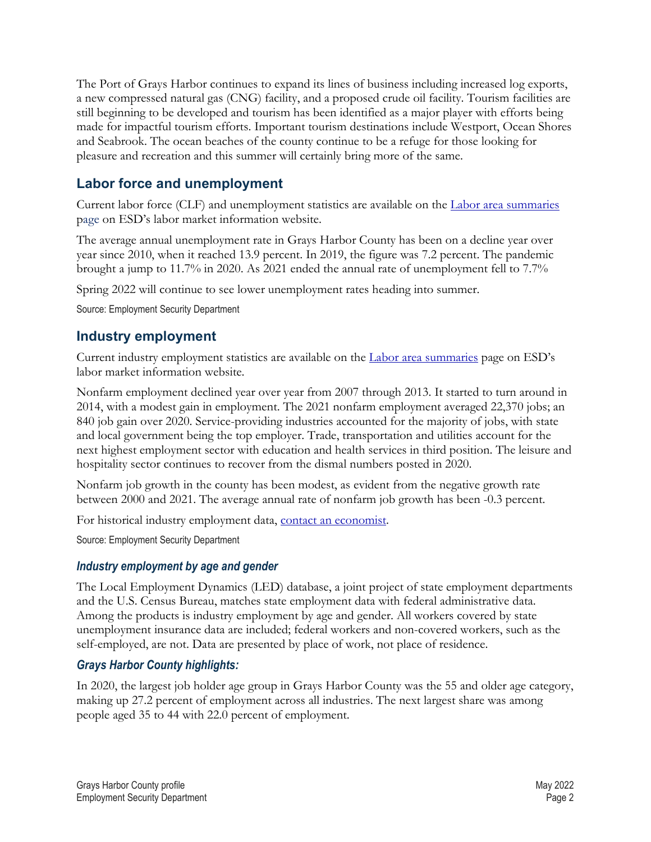The Port of Grays Harbor continues to expand its lines of business including increased log exports, a new compressed natural gas (CNG) facility, and a proposed crude oil facility. Tourism facilities are still beginning to be developed and tourism has been identified as a major player with efforts being made for impactful tourism efforts. Important tourism destinations include Westport, Ocean Shores and Seabrook. The ocean beaches of the county continue to be a refuge for those looking for pleasure and recreation and this summer will certainly bring more of the same.

## <span id="page-1-0"></span>**[Labor force and unemployment](#page-0-2)**

Current labor force (CLF) and unemployment statistics are available on the [Labor area summaries](https://esd.wa.gov/labormarketinfo/labor-area-summaries) page on ESD's labor market information website.

The average annual unemployment rate in Grays Harbor County has been on a decline year over year since 2010, when it reached 13.9 percent. In 2019, the figure was 7.2 percent. The pandemic brought a jump to 11.7% in 2020. As 2021 ended the annual rate of unemployment fell to 7.7%

Spring 2022 will continue to see lower unemployment rates heading into summer.

Source: Employment Security Department

## <span id="page-1-1"></span>**[Industry employment](#page-0-2)**

Current industry employment statistics are available on the [Labor area summaries](https://esd.wa.gov/labormarketinfo/labor-area-summaries) page on ESD's labor market information website.

Nonfarm employment declined year over year from 2007 through 2013. It started to turn around in 2014, with a modest gain in employment. The 2021 nonfarm employment averaged 22,370 jobs; an 840 job gain over 2020. Service-providing industries accounted for the majority of jobs, with state and local government being the top employer. Trade, transportation and utilities account for the next highest employment sector with education and health services in third position. The leisure and hospitality sector continues to recover from the dismal numbers posted in 2020.

Nonfarm job growth in the county has been modest, as evident from the negative growth rate between 2000 and 2021. The average annual rate of nonfarm job growth has been -0.3 percent.

For historical industry employment data, [contact an economist.](mailto:Jvleming@esd.wa.gov)

Source: Employment Security Department

#### *Industry employment by age and gender*

The Local Employment Dynamics (LED) database, a joint project of state employment departments and the U.S. Census Bureau, matches state employment data with federal administrative data. Among the products is industry employment by age and gender. All workers covered by state unemployment insurance data are included; federal workers and non-covered workers, such as the self-employed, are not. Data are presented by place of work, not place of residence.

#### *Grays Harbor County highlights:*

In 2020, the largest job holder age group in Grays Harbor County was the 55 and older age category, making up 27.2 percent of employment across all industries. The next largest share was among people aged 35 to 44 with 22.0 percent of employment.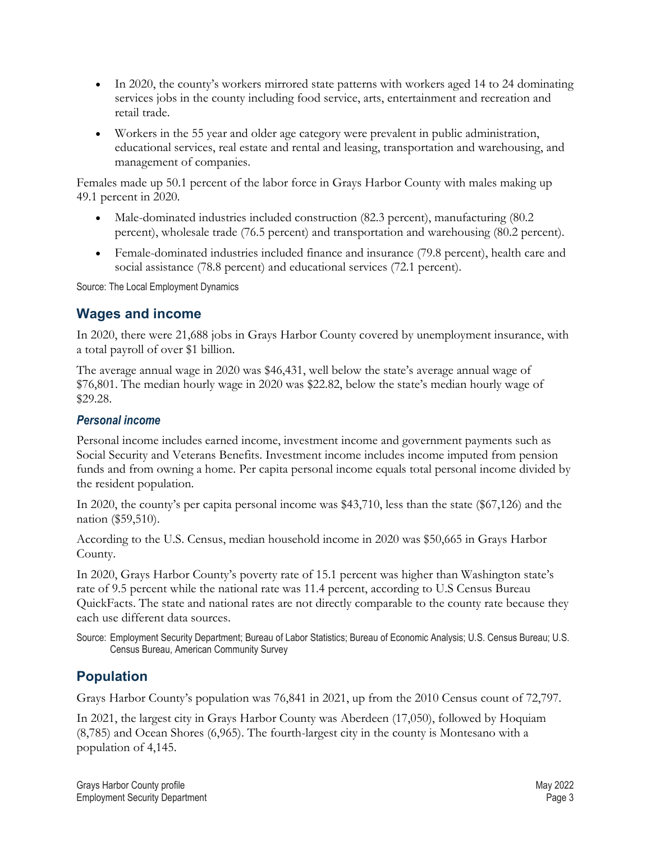- In 2020, the county's workers mirrored state patterns with workers aged 14 to 24 dominating services jobs in the county including food service, arts, entertainment and recreation and retail trade.
- Workers in the 55 year and older age category were prevalent in public administration, educational services, real estate and rental and leasing, transportation and warehousing, and management of companies.

Females made up 50.1 percent of the labor force in Grays Harbor County with males making up 49.1 percent in 2020.

- Male-dominated industries included construction (82.3 percent), manufacturing (80.2 percent), wholesale trade (76.5 percent) and transportation and warehousing (80.2 percent).
- Female-dominated industries included finance and insurance (79.8 percent), health care and social assistance (78.8 percent) and educational services (72.1 percent).

Source: The Local Employment Dynamics

## <span id="page-2-0"></span>**[Wages and income](#page-0-2)**

In 2020, there were 21,688 jobs in Grays Harbor County covered by unemployment insurance, with a total payroll of over \$1 billion.

The average annual wage in 2020 was \$46,431, well below the state's average annual wage of \$76,801. The median hourly wage in 2020 was \$22.82, below the state's median hourly wage of \$29.28.

#### *Personal income*

Personal income includes earned income, investment income and government payments such as Social Security and Veterans Benefits. Investment income includes income imputed from pension funds and from owning a home. Per capita personal income equals total personal income divided by the resident population.

In 2020, the county's per capita personal income was \$43,710, less than the state (\$67,126) and the nation (\$59,510).

According to the U.S. Census, median household income in 2020 was \$50,665 in Grays Harbor County.

In 2020, Grays Harbor County's poverty rate of 15.1 percent was higher than Washington state's rate of 9.5 percent while the national rate was 11.4 percent, according to U.S Census Bureau QuickFacts. The state and national rates are not directly comparable to the county rate because they each use different data sources.

Source: Employment Security Department; Bureau of Labor Statistics; Bureau of Economic Analysis; U.S. Census Bureau; U.S. Census Bureau, American Community Survey

# <span id="page-2-1"></span>**[Population](#page-0-2)**

Grays Harbor County's population was 76,841 in 2021, up from the 2010 Census count of 72,797.

In 2021, the largest city in Grays Harbor County was Aberdeen (17,050), followed by Hoquiam (8,785) and Ocean Shores (6,965). The fourth-largest city in the county is Montesano with a population of 4,145.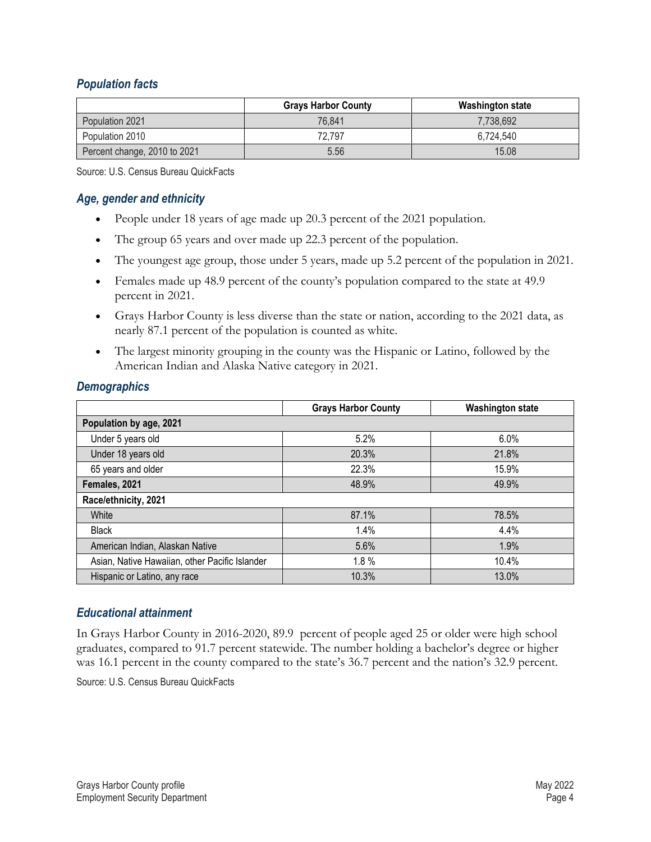#### *Population facts*

|                              | <b>Grays Harbor County</b> | <b>Washington state</b> |
|------------------------------|----------------------------|-------------------------|
| Population 2021              | 76.841                     | 7,738,692               |
| Population 2010              | 72.797                     | 6.724.540               |
| Percent change, 2010 to 2021 | 5.56                       | 15.08                   |

Source: U.S. Census Bureau QuickFacts

#### *Age, gender and ethnicity*

- People under 18 years of age made up 20.3 percent of the 2021 population.
- The group 65 years and over made up 22.3 percent of the population.
- The youngest age group, those under 5 years, made up 5.2 percent of the population in 2021.
- Females made up 48.9 percent of the county's population compared to the state at 49.9 percent in 2021.
- Grays Harbor County is less diverse than the state or nation, according to the 2021 data, as nearly 87.1 percent of the population is counted as white.
- The largest minority grouping in the county was the Hispanic or Latino, followed by the American Indian and Alaska Native category in 2021.

#### *Demographics*

|                                                | <b>Grays Harbor County</b> | <b>Washington state</b> |  |  |
|------------------------------------------------|----------------------------|-------------------------|--|--|
| Population by age, 2021                        |                            |                         |  |  |
| Under 5 years old                              | 5.2%                       | 6.0%                    |  |  |
| Under 18 years old                             | 20.3%                      | 21.8%                   |  |  |
| 65 years and older                             | 22.3%                      | 15.9%                   |  |  |
| Females, 2021                                  | 48.9%                      | 49.9%                   |  |  |
| Race/ethnicity, 2021                           |                            |                         |  |  |
| White                                          | 87.1%                      | 78.5%                   |  |  |
| <b>Black</b>                                   | 1.4%                       | 4.4%                    |  |  |
| American Indian, Alaskan Native                | 5.6%                       | 1.9%                    |  |  |
| Asian, Native Hawaiian, other Pacific Islander | 1.8%                       | 10.4%                   |  |  |
| Hispanic or Latino, any race                   | 10.3%                      | 13.0%                   |  |  |

#### *Educational attainment*

In Grays Harbor County in 2016-2020, 89.9 percent of people aged 25 or older were high school graduates, compared to 91.7 percent statewide. The number holding a bachelor's degree or higher was 16.1 percent in the county compared to the state's 36.7 percent and the nation's 32.9 percent. Source: U.S. Census Bureau QuickFacts